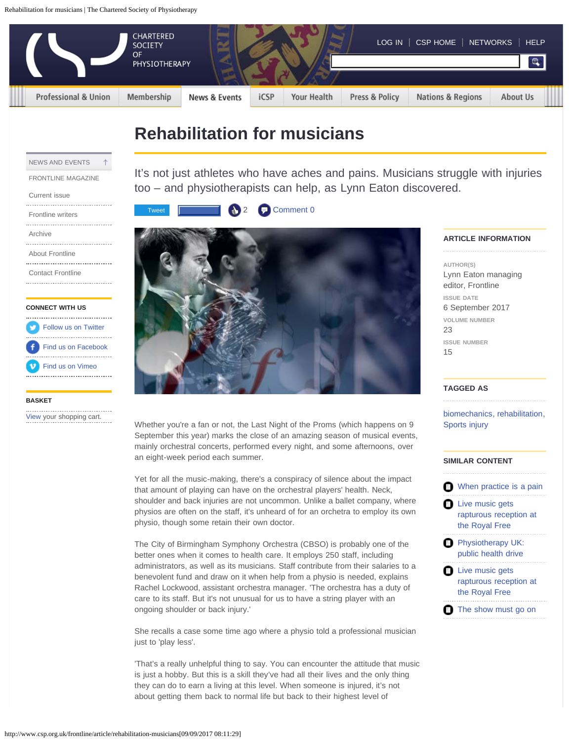<span id="page-0-0"></span>

# **Rehabilitation for musicians**

| NEWS AND EVENTS           |  |
|---------------------------|--|
| <b>FRONTLINE MAGAZINE</b> |  |

#### [Current issue](http://www.csp.org.uk/frontline/23/15)

[Frontline writers](http://www.csp.org.uk/news-events/frontline-magazine/writers) [Archive](http://www.csp.org.uk/news-events/frontline-magazine/archive) ......................................

[About Frontline](http://www.csp.org.uk/news-events/frontline-magazine/about-frontline) ......................................

[Contact Frontline](http://www.csp.org.uk/news-events/frontline-magazine/contact-frontline) 

## **CONNECT WITH US**

| Follow us on Twitter      |
|---------------------------|
| Find us on Facebook       |
| <b>V</b> Find us on Vimeo |
|                           |

#### **BASKET**

[View](http://www.csp.org.uk/cart) your shopping cart.

It's not just athletes who have aches and pains. Musicians struggle with injuries too – and physiotherapists can help, as Lynn Eaton discovered.





Whether you're a fan or not, the Last Night of the Proms (which happens on 9) September this year) marks the close of an amazing season of musical events, mainly orchestral concerts, performed every night, and some afternoons, over an eight-week period each summer.

Yet for all the music-making, there's a conspiracy of silence about the impact that amount of playing can have on the orchestral players' health. Neck, shoulder and back injuries are not uncommon. Unlike a ballet company, where physios are often on the staff, it's unheard of for an orchetra to employ its own physio, though some retain their own doctor.

The City of Birmingham Symphony Orchestra (CBSO) is probably one of the better ones when it comes to health care. It employs 250 staff, including administrators, as well as its musicians. Staff contribute from their salaries to a benevolent fund and draw on it when help from a physio is needed, explains Rachel Lockwood, assistant orchestra manager. 'The orchestra has a duty of care to its staff. But it's not unusual for us to have a string player with an ongoing shoulder or back injury.'

She recalls a case some time ago where a physio told a professional musician just to 'play less'.

'That's a really unhelpful thing to say. You can encounter the attitude that music is just a hobby. But this is a skill they've had all their lives and the only thing they can do to earn a living at this level. When someone is injured, it's not about getting them back to normal life but back to their highest level of

## **ARTICLE INFORMATION**

**AUTHOR(S)** Lynn Eaton managing editor, Frontline **ISSUE DATE** 6 September 2017 **VOLUME NUMBER** 23 **ISSUE NUMBER** 15

## **TAGGED AS**

[biomechanics,](http://www.csp.org.uk/tagged/biomechanics) [rehabilitation](http://www.csp.org.uk/tagged/rehabilitation-26), [Sports injury](http://www.csp.org.uk/tagged/sports-injury)

## **SIMILAR CONTENT**

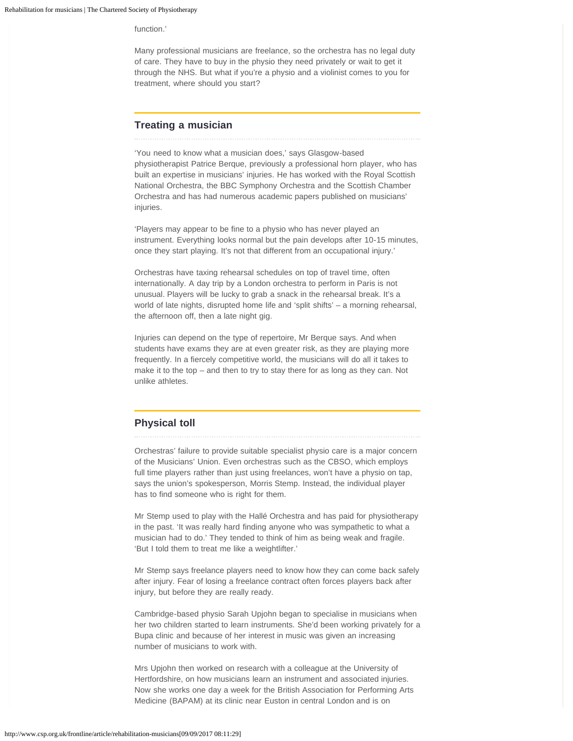function<sup>'</sup>

Many professional musicians are freelance, so the orchestra has no legal duty of care. They have to buy in the physio they need privately or wait to get it through the NHS. But what if you're a physio and a violinist comes to you for treatment, where should you start?

## **Treating a musician**

'You need to know what a musician does,' says Glasgow-based physiotherapist Patrice Berque, previously a professional horn player, who has built an expertise in musicians' injuries. He has worked with the Royal Scottish National Orchestra, the BBC Symphony Orchestra and the Scottish Chamber Orchestra and has had numerous academic papers published on musicians' injuries.

'Players may appear to be fine to a physio who has never played an instrument. Everything looks normal but the pain develops after 10-15 minutes, once they start playing. It's not that different from an occupational injury.'

Orchestras have taxing rehearsal schedules on top of travel time, often internationally. A day trip by a London orchestra to perform in Paris is not unusual. Players will be lucky to grab a snack in the rehearsal break. It's a world of late nights, disrupted home life and 'split shifts' – a morning rehearsal, the afternoon off, then a late night gig.

Injuries can depend on the type of repertoire, Mr Berque says. And when students have exams they are at even greater risk, as they are playing more frequently. In a fiercely competitive world, the musicians will do all it takes to make it to the top – and then to try to stay there for as long as they can. Not unlike athletes.

## **Physical toll**

Orchestras' failure to provide suitable specialist physio care is a major concern of the Musicians' Union. Even orchestras such as the CBSO, which employs full time players rather than just using freelances, won't have a physio on tap, says the union's spokesperson, Morris Stemp. Instead, the individual player has to find someone who is right for them.

Mr Stemp used to play with the Hallé Orchestra and has paid for physiotherapy in the past. 'It was really hard finding anyone who was sympathetic to what a musician had to do.' They tended to think of him as being weak and fragile. 'But I told them to treat me like a weightlifter.'

Mr Stemp says freelance players need to know how they can come back safely after injury. Fear of losing a freelance contract often forces players back after injury, but before they are really ready.

Cambridge-based physio Sarah Upjohn began to specialise in musicians when her two children started to learn instruments. She'd been working privately for a Bupa clinic and because of her interest in music was given an increasing number of musicians to work with.

Mrs Upjohn then worked on research with a colleague at the University of Hertfordshire, on how musicians learn an instrument and associated injuries. Now she works one day a week for the British Association for Performing Arts Medicine (BAPAM) at its clinic near Euston in central London and is on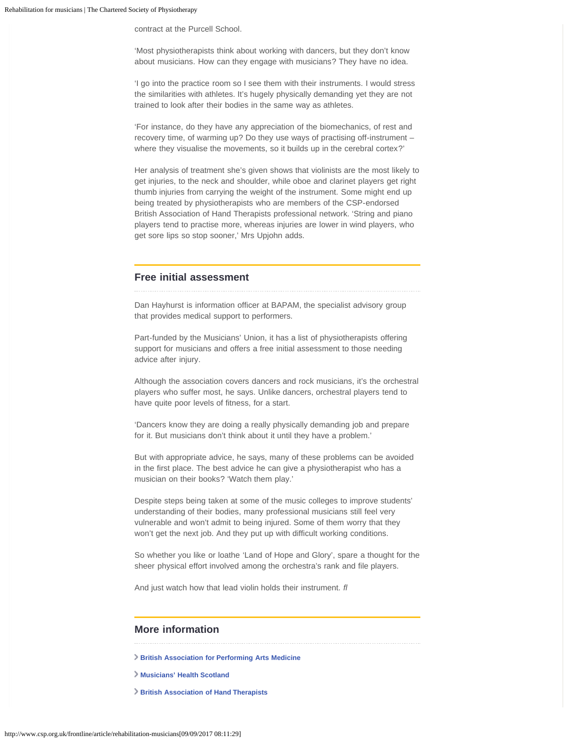contract at the Purcell School.

'Most physiotherapists think about working with dancers, but they don't know about musicians. How can they engage with musicians? They have no idea.

'I go into the practice room so I see them with their instruments. I would stress the similarities with athletes. It's hugely physically demanding yet they are not trained to look after their bodies in the same way as athletes.

'For instance, do they have any appreciation of the biomechanics, of rest and recovery time, of warming up? Do they use ways of practising off-instrument – where they visualise the movements, so it builds up in the cerebral cortex?'

Her analysis of treatment she's given shows that violinists are the most likely to get injuries, to the neck and shoulder, while oboe and clarinet players get right thumb injuries from carrying the weight of the instrument. Some might end up being treated by physiotherapists who are members of the CSP-endorsed British Association of Hand Therapists professional network. 'String and piano players tend to practise more, whereas injuries are lower in wind players, who get sore lips so stop sooner,' Mrs Upjohn adds.

## **Free initial assessment**

Dan Hayhurst is information officer at BAPAM, the specialist advisory group that provides medical support to performers.

Part-funded by the Musicians' Union, it has a list of physiotherapists offering support for musicians and offers a free initial assessment to those needing advice after injury.

Although the association covers dancers and rock musicians, it's the orchestral players who suffer most, he says. Unlike dancers, orchestral players tend to have quite poor levels of fitness, for a start.

'Dancers know they are doing a really physically demanding job and prepare for it. But musicians don't think about it until they have a problem.'

But with appropriate advice, he says, many of these problems can be avoided in the first place. The best advice he can give a physiotherapist who has a musician on their books? 'Watch them play.'

Despite steps being taken at some of the music colleges to improve students' understanding of their bodies, many professional musicians still feel very vulnerable and won't admit to being injured. Some of them worry that they won't get the next job. And they put up with difficult working conditions.

So whether you like or loathe 'Land of Hope and Glory', spare a thought for the sheer physical effort involved among the orchestra's rank and file players.

And just watch how that lead violin holds their instrument. *fl*

# **More information**

- 
- **[British Association for Performing Arts Medicine](http://www.bapam.org.uk/)**
- **[Musicians' Health Scotland](http://www.musicianshealth.co.uk/)**
- **[British Association of Hand Therapists](http://www.hand-therapy.co.uk/)**